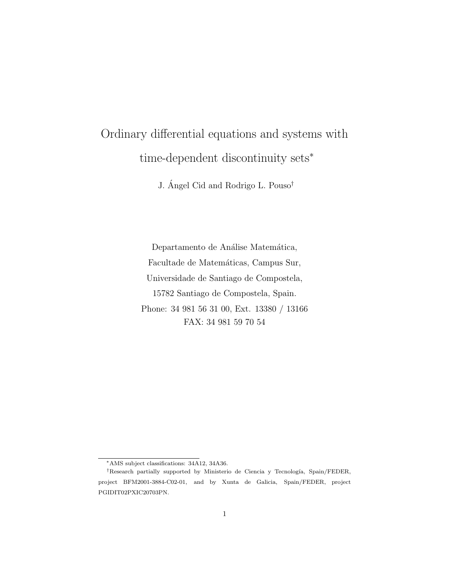# Ordinary differential equations and systems with time-dependent discontinuity sets<sup>∗</sup>

J. Ángel Cid and Rodrigo L. Pouso<sup>†</sup>

Departamento de Análise Matemática, Facultade de Matemáticas, Campus Sur, Universidade de Santiago de Compostela, 15782 Santiago de Compostela, Spain. Phone: 34 981 56 31 00, Ext. 13380 / 13166 FAX: 34 981 59 70 54

<sup>∗</sup>AMS subject classifications: 34A12, 34A36.

<sup>&</sup>lt;sup>†</sup>Research partially supported by Ministerio de Ciencia y Tecnología, Spain/FEDER, project BFM2001-3884-C02-01, and by Xunta de Galicia, Spain/FEDER, project PGIDIT02PXIC20703PN.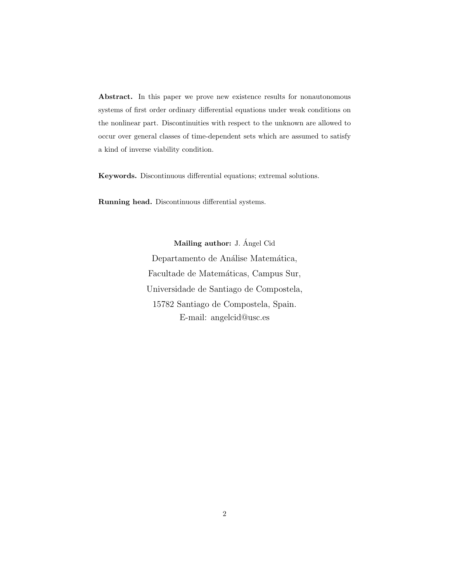Abstract. In this paper we prove new existence results for nonautonomous systems of first order ordinary differential equations under weak conditions on the nonlinear part. Discontinuities with respect to the unknown are allowed to occur over general classes of time-dependent sets which are assumed to satisfy a kind of inverse viability condition.

Keywords. Discontinuous differential equations; extremal solutions.

Running head. Discontinuous differential systems.

Mailing author: J. Ángel Cid Departamento de Análise Matemática, Facultade de Matemáticas, Campus Sur, Universidade de Santiago de Compostela, 15782 Santiago de Compostela, Spain. E-mail: angelcid@usc.es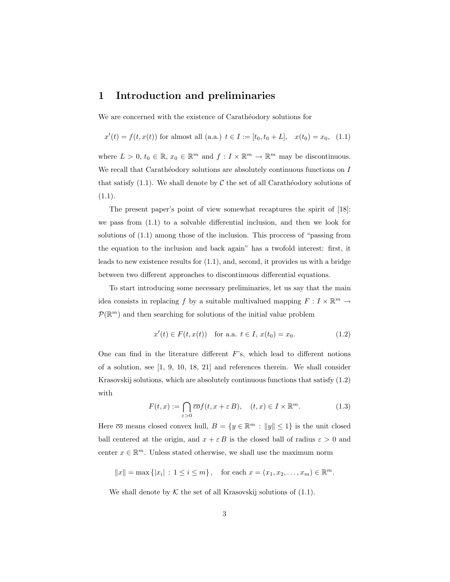### 1 Introduction and preliminaries

We are concerned with the existence of Carathéodory solutions for

$$
x'(t) = f(t, x(t))
$$
 for almost all (a.a.)  $t \in I := [t_0, t_0 + L], x(t_0) = x_0$ , (1.1)

where  $L > 0$ ,  $t_0 \in \mathbb{R}$ ,  $x_0 \in \mathbb{R}^m$  and  $f: I \times \mathbb{R}^m \to \mathbb{R}^m$  may be discontinuous. We recall that Carathéodory solutions are absolutely continuous functions on  $I$ that satisfy  $(1.1)$ . We shall denote by C the set of all Carathéodory solutions of  $(1.1).$ 

The present paper's point of view somewhat recaptures the spirit of [18]: we pass from (1.1) to a solvable differential inclusion, and then we look for solutions of (1.1) among those of the inclusion. This proccess of "passing from the equation to the inclusion and back again" has a twofold interest: first, it leads to new existence results for (1.1), and, second, it provides us with a bridge between two different approaches to discontinuous differential equations.

To start introducing some necessary preliminaries, let us say that the main idea consists in replacing f by a suitable multivalued mapping  $F: I \times \mathbb{R}^m \to$  $\mathcal{P}(\mathbb{R}^m)$  and then searching for solutions of the initial value problem

$$
x'(t) \in F(t, x(t)) \quad \text{for a.a. } t \in I, \, x(t_0) = x_0. \tag{1.2}
$$

One can find in the literature different  $F$ 's, which lead to different notions of a solution, see [1, 9, 10, 18, 21] and references therein. We shall consider Krasovskij solutions, which are absolutely continuous functions that satisfy (1.2) with

$$
F(t,x) := \bigcap_{\varepsilon > 0} \overline{co}f(t, x + \varepsilon B), \quad (t, x) \in I \times \mathbb{R}^m.
$$
 (1.3)

Here  $\overline{co}$  means closed convex hull,  $B = \{y \in \mathbb{R}^m : ||y|| \leq 1\}$  is the unit closed ball centered at the origin, and  $x + \varepsilon B$  is the closed ball of radius  $\varepsilon > 0$  and center  $x \in \mathbb{R}^m$ . Unless stated otherwise, we shall use the maximum norm

 $||x|| = \max\{|x_i| : 1 \le i \le m\},\$  for each  $x = (x_1, x_2, \dots, x_m) \in \mathbb{R}^m$ .

We shall denote by  $K$  the set of all Krasovskij solutions of  $(1.1)$ .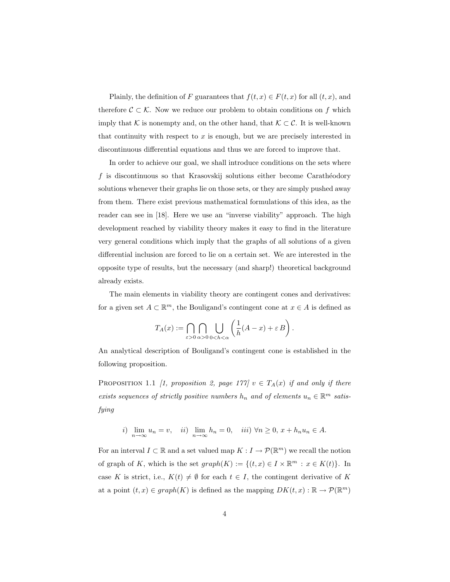Plainly, the definition of F guarantees that  $f(t, x) \in F(t, x)$  for all  $(t, x)$ , and therefore  $\mathcal{C} \subset \mathcal{K}$ . Now we reduce our problem to obtain conditions on f which imply that K is nonempty and, on the other hand, that  $K \subset \mathcal{C}$ . It is well-known that continuity with respect to  $x$  is enough, but we are precisely interested in discontinuous differential equations and thus we are forced to improve that.

In order to achieve our goal, we shall introduce conditions on the sets where f is discontinuous so that Krasovskij solutions either become Carathéodory solutions whenever their graphs lie on those sets, or they are simply pushed away from them. There exist previous mathematical formulations of this idea, as the reader can see in [18]. Here we use an "inverse viability" approach. The high development reached by viability theory makes it easy to find in the literature very general conditions which imply that the graphs of all solutions of a given differential inclusion are forced to lie on a certain set. We are interested in the opposite type of results, but the necessary (and sharp!) theoretical background already exists.

The main elements in viability theory are contingent cones and derivatives: for a given set  $A \subset \mathbb{R}^m$ , the Bouligand's contingent cone at  $x \in A$  is defined as

$$
T_A(x) := \bigcap_{\varepsilon > 0} \bigcap_{\alpha > 0} \bigcup_{0 < h < \alpha} \left( \frac{1}{h}(A-x) + \varepsilon B \right).
$$

An analytical description of Bouligand's contingent cone is established in the following proposition.

PROPOSITION 1.1 [1, proposition 2, page 177]  $v \in T_A(x)$  if and only if there exists sequences of strictly positive numbers  $h_n$  and of elements  $u_n \in \mathbb{R}^m$  satisfying

*i*) 
$$
\lim_{n \to \infty} u_n = v
$$
, *ii*)  $\lim_{n \to \infty} h_n = 0$ , *iii*)  $\forall n \ge 0$ ,  $x + h_n u_n \in A$ .

For an interval  $I \subset \mathbb{R}$  and a set valued map  $K : I \to \mathcal{P}(\mathbb{R}^m)$  we recall the notion of graph of K, which is the set  $graph(K) := \{(t, x) \in I \times \mathbb{R}^m : x \in K(t)\}.$  In case K is strict, i.e.,  $K(t) \neq \emptyset$  for each  $t \in I$ , the contingent derivative of K at a point  $(t, x) \in graph(K)$  is defined as the mapping  $DK(t, x) : \mathbb{R} \to \mathcal{P}(\mathbb{R}^m)$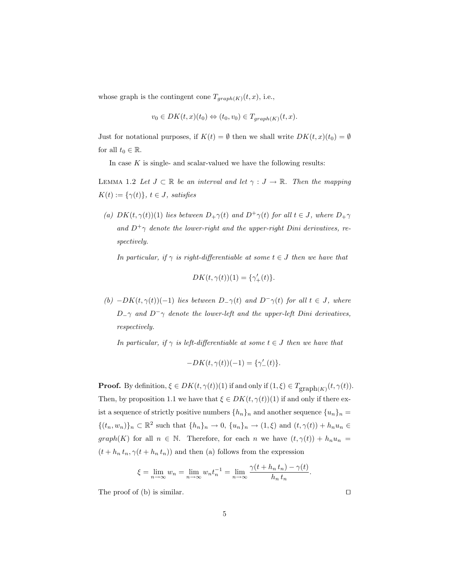whose graph is the contingent cone  $T_{graph(K)}(t, x)$ , i.e.,

$$
v_0 \in DK(t, x)(t_0) \Leftrightarrow (t_0, v_0) \in T_{graph(K)}(t, x).
$$

Just for notational purposes, if  $K(t) = \emptyset$  then we shall write  $DK(t, x)(t_0) = \emptyset$ for all  $t_0 \in \mathbb{R}$ .

In case  $K$  is single- and scalar-valued we have the following results:

LEMMA 1.2 Let  $J \subset \mathbb{R}$  be an interval and let  $\gamma : J \to \mathbb{R}$ . Then the mapping  $K(t) := {\gamma(t)}$ ,  $t \in J$ , satisfies

(a)  $DK(t, \gamma(t))(1)$  lies between  $D_+\gamma(t)$  and  $D^+\gamma(t)$  for all  $t \in J$ , where  $D_+\gamma$ and  $D^+\gamma$  denote the lower-right and the upper-right Dini derivatives, respectively.

In particular, if  $\gamma$  is right-differentiable at some  $t \in J$  then we have that

$$
DK(t, \gamma(t))(1) = \{\gamma_+'(t)\}.
$$

(b)  $-DK(t, \gamma(t))(-1)$  lies between  $D_{-\gamma}(t)$  and  $D^{-}\gamma(t)$  for all  $t \in J$ , where  $D_-\gamma$  and  $D^-\gamma$  denote the lower-left and the upper-left Dini derivatives, respectively.

In particular, if  $\gamma$  is left-differentiable at some  $t \in J$  then we have that

$$
-DK(t, \gamma(t))(-1) = {\gamma'_-(t)}.
$$

**Proof.** By definition,  $\xi \in DK(t, \gamma(t))(1)$  if and only if  $(1, \xi) \in T_{\text{graph}(K)}(t, \gamma(t))$ . Then, by proposition 1.1 we have that  $\xi \in DK(t, \gamma(t))(1)$  if and only if there exist a sequence of strictly positive numbers  $\{h_n\}_n$  and another sequence  $\{u_n\}_n =$  $\{(t_n, w_n)\}_n \subset \mathbb{R}^2$  such that  $\{h_n\}_n \to 0$ ,  $\{u_n\}_n \to (1, \xi)$  and  $(t, \gamma(t)) + h_n u_n \in$  $graph(K)$  for all  $n \in \mathbb{N}$ . Therefore, for each n we have  $(t, \gamma(t)) + h_n u_n =$  $(t + h_n t_n, \gamma(t + h_n t_n))$  and then (a) follows from the expression

$$
\xi = \lim_{n \to \infty} w_n = \lim_{n \to \infty} w_n t_n^{-1} = \lim_{n \to \infty} \frac{\gamma(t + h_n t_n) - \gamma(t)}{h_n t_n}.
$$

The proof of (b) is similar.  $\square$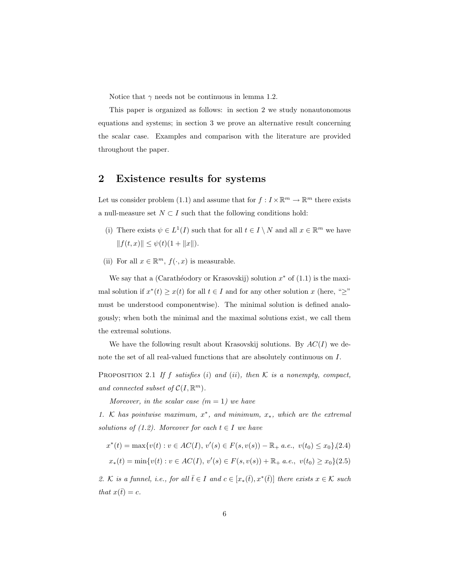Notice that  $\gamma$  needs not be continuous in lemma 1.2.

This paper is organized as follows: in section 2 we study nonautonomous equations and systems; in section 3 we prove an alternative result concerning the scalar case. Examples and comparison with the literature are provided throughout the paper.

# 2 Existence results for systems

Let us consider problem (1.1) and assume that for  $f: I \times \mathbb{R}^m \to \mathbb{R}^m$  there exists a null-measure set  $N \subset I$  such that the following conditions hold:

- (i) There exists  $\psi \in L^1(I)$  such that for all  $t \in I \setminus N$  and all  $x \in \mathbb{R}^m$  we have  $|| f(t, x) || \leq \psi(t) (1 + ||x||).$
- (ii) For all  $x \in \mathbb{R}^m$ ,  $f(\cdot, x)$  is measurable.

We say that a (Carathéodory or Krasovskij) solution  $x^*$  of  $(1.1)$  is the maximal solution if  $x^*(t) \geq x(t)$  for all  $t \in I$  and for any other solution x (here, " $\geq$ " must be understood componentwise). The minimal solution is defined analogously; when both the minimal and the maximal solutions exist, we call them the extremal solutions.

We have the following result about Krasovskij solutions. By  $AC(I)$  we denote the set of all real-valued functions that are absolutely continuous on I.

PROPOSITION 2.1 If f satisfies (i) and (ii), then  $K$  is a nonempty, compact, and connected subset of  $C(I, \mathbb{R}^m)$ .

Moreover, in the scalar case  $(m = 1)$  we have

1. K has pointwise maximum,  $x^*$ , and minimum,  $x_*$ , which are the extremal solutions of (1.2). Moreover for each  $t \in I$  we have

$$
x^*(t) = \max\{v(t) : v \in AC(I), v'(s) \in F(s, v(s)) - \mathbb{R}_+ a.e., v(t_0) \le x_0\}, (2.4)
$$
  

$$
x_*(t) = \min\{v(t) : v \in AC(I), v'(s) \in F(s, v(s)) + \mathbb{R}_+ a.e., v(t_0) \ge x_0\}
$$

2. K is a funnel, i.e., for all  $\bar{t} \in I$  and  $c \in [x_*(\bar{t}), x^*(\bar{t})]$  there exists  $x \in K$  such that  $x(\bar{t}) = c$ .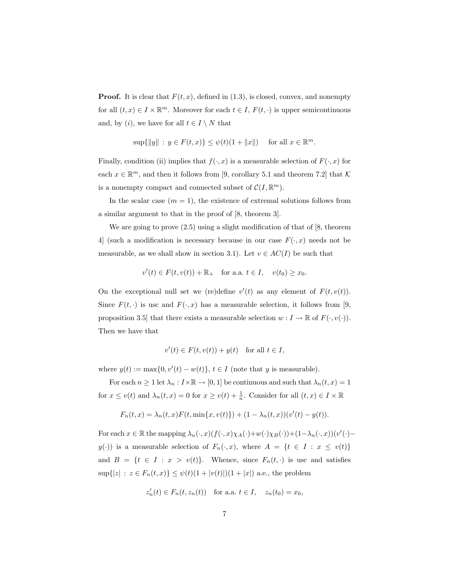**Proof.** It is clear that  $F(t, x)$ , defined in (1.3), is closed, convex, and nonempty for all  $(t, x) \in I \times \mathbb{R}^m$ . Moreover for each  $t \in I$ ,  $F(t, \cdot)$  is upper semicontinuous and, by  $(i)$ , we have for all  $t \in I \setminus N$  that

$$
\sup\{\|y\| : y \in F(t,x)\} \leq \psi(t)(1 + \|x\|)
$$
 for all  $x \in \mathbb{R}^m$ .

Finally, condition (ii) implies that  $f(\cdot, x)$  is a measurable selection of  $F(\cdot, x)$  for each  $x \in \mathbb{R}^m$ , and then it follows from [9, corollary 5.1 and theorem 7.2] that K is a nonempty compact and connected subset of  $\mathcal{C}(I,\mathbb{R}^m)$ .

In the scalar case  $(m = 1)$ , the existence of extremal solutions follows from a similar argument to that in the proof of [8, theorem 3].

We are going to prove  $(2.5)$  using a slight modification of that of [8, theorem 4 (such a modification is necessary because in our case  $F(\cdot, x)$  needs not be measurable, as we shall show in section 3.1). Let  $v \in AC(I)$  be such that

$$
v'(t) \in F(t, v(t)) + \mathbb{R}_+ \quad \text{for a.a. } t \in I, \quad v(t_0) \ge x_0.
$$

On the exceptional null set we (re)define  $v'(t)$  as any element of  $F(t, v(t))$ . Since  $F(t, \cdot)$  is usc and  $F(\cdot, x)$  has a measurable selection, it follows from [9, proposition 3.5] that there exists a measurable selection  $w : I \to \mathbb{R}$  of  $F(\cdot, v(\cdot))$ . Then we have that

$$
v'(t) \in F(t, v(t)) + y(t) \quad \text{for all } t \in I,
$$

where  $y(t) := \max\{0, v'(t) - w(t)\}, t \in I$  (note that y is measurable).

For each  $n\geq 1$  let  $\lambda_n: I\times \mathbb{R} \to [0,1]$  be continuous and such that  $\lambda_n(t,x)=1$ for  $x \le v(t)$  and  $\lambda_n(t, x) = 0$  for  $x \ge v(t) + \frac{1}{n}$ . Consider for all  $(t, x) \in I \times \mathbb{R}$ 

$$
F_n(t, x) = \lambda_n(t, x) F(t, \min\{x, v(t)\}) + (1 - \lambda_n(t, x))(v'(t) - y(t)).
$$

For each  $x \in \mathbb{R}$  the mapping  $\lambda_n(\cdot, x)(f(\cdot, x)\chi_A(\cdot)+w(\cdot)\chi_B(\cdot))+(1-\lambda_n(\cdot, x))(v'(\cdot)$  $y(\cdot)$  is a measurable selection of  $F_n(\cdot, x)$ , where  $A = \{t \in I : x \leq v(t)\}\$ and  $B = \{t \in I : x > v(t)\}.$  Whence, since  $F_n(t, \cdot)$  is usc and satisfies  $\sup\{|z| \, : \, z \in F_n(t,x)\} \leq \psi(t)(1+|v(t)|)(1+|x|)$  a.e., the problem

$$
z'_n(t) \in F_n(t, z_n(t))
$$
 for a.a.  $t \in I$ ,  $z_n(t_0) = x_0$ ,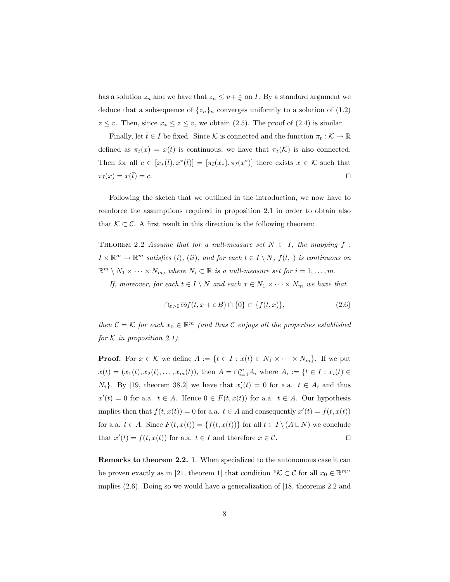has a solution  $z_n$  and we have that  $z_n \leq v + \frac{1}{n}$  on *I*. By a standard argument we deduce that a subsequence of  $\{z_n\}_n$  converges uniformly to a solution of (1.2)  $z \leq v$ . Then, since  $x_* \leq z \leq v$ , we obtain (2.5). The proof of (2.4) is similar.

Finally, let  $\bar{t} \in I$  be fixed. Since K is connected and the function  $\pi_{\bar{t}} : \mathcal{K} \to \mathbb{R}$ defined as  $\pi_{\bar{t}}(x) = x(\bar{t})$  is continuous, we have that  $\pi_{\bar{t}}(\mathcal{K})$  is also connected. Then for all  $c \in [x_*(\bar{t}), x^*(\bar{t})] = [\pi_{\bar{t}}(x_*,), \pi_{\bar{t}}(x^*)]$  there exists  $x \in \mathcal{K}$  such that  $\pi_{\bar{t}}(x) = x(\bar{t}) = c.$ 

Following the sketch that we outlined in the introduction, we now have to reenforce the assumptions required in proposition 2.1 in order to obtain also that  $\mathcal{K} \subset \mathcal{C}$ . A first result in this direction is the following theorem:

THEOREM 2.2 Assume that for a null-measure set  $N \subset I$ , the mapping f:  $I \times \mathbb{R}^m \to \mathbb{R}^m$  satisfies (i), (ii), and for each  $t \in I \setminus N$ ,  $f(t, \cdot)$  is continuous on  $\mathbb{R}^m \setminus N_1 \times \cdots \times N_m$ , where  $N_i \subset \mathbb{R}$  is a null-measure set for  $i = 1, \ldots, m$ .

If, moreover, for each  $t \in I \setminus N$  and each  $x \in N_1 \times \cdots \times N_m$  we have that

$$
\bigcap_{\varepsilon>0}\overline{co}f(t,x+\varepsilon B)\cap\{0\}\subset\{f(t,x)\},\tag{2.6}
$$

then  $C = \mathcal{K}$  for each  $x_0 \in \mathbb{R}^m$  (and thus C enjoys all the properties established for  $K$  in proposition 2.1).

**Proof.** For  $x \in \mathcal{K}$  we define  $A := \{t \in I : x(t) \in N_1 \times \cdots \times N_m\}$ . If we put  $x(t) = (x_1(t), x_2(t), \dots, x_m(t)),$  then  $A = \bigcap_{i=1}^m A_i$  where  $A_i := \{t \in I : x_i(t) \in$  $N_i$ . By [19, theorem 38.2] we have that  $x_i'(t) = 0$  for a.a.  $t \in A_i$  and thus  $x'(t) = 0$  for a.a.  $t \in A$ . Hence  $0 \in F(t, x(t))$  for a.a.  $t \in A$ . Our hypothesis implies then that  $f(t, x(t)) = 0$  for a.a.  $t \in A$  and consequently  $x'(t) = f(t, x(t))$ for a.a.  $t \in A$ . Since  $F(t, x(t)) = \{f(t, x(t))\}$  for all  $t \in I \setminus (A \cup N)$  we conclude that  $x'(t) = f(t, x(t))$  for a.a.  $t \in I$  and therefore  $x \in C$ .

Remarks to theorem 2.2. 1. When specialized to the autonomous case it can be proven exactly as in [21, theorem 1] that condition " $K \subset \mathcal{C}$  for all  $x_0 \in \mathbb{R}^{m}$ " implies (2.6). Doing so we would have a generalization of [18, theorems 2.2 and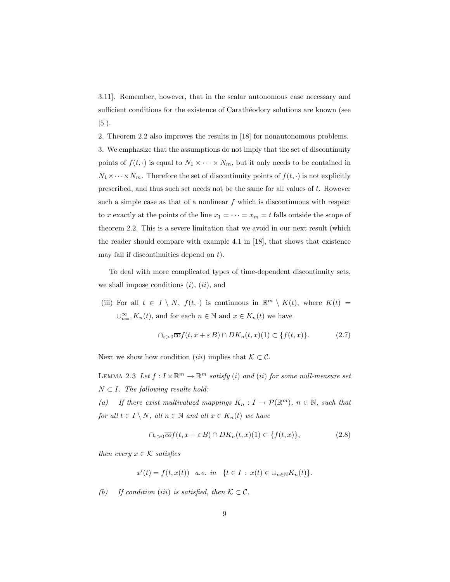3.11]. Remember, however, that in the scalar autonomous case necessary and sufficient conditions for the existence of Carathéodory solutions are known (see [5]).

2. Theorem 2.2 also improves the results in [18] for nonautonomous problems. 3. We emphasize that the assumptions do not imply that the set of discontinuity points of  $f(t, \cdot)$  is equal to  $N_1 \times \cdots \times N_m$ , but it only needs to be contained in  $N_1 \times \cdots \times N_m$ . Therefore the set of discontinuity points of  $f(t, \cdot)$  is not explicitly prescribed, and thus such set needs not be the same for all values of t. However such a simple case as that of a nonlinear  $f$  which is discontinuous with respect to x exactly at the points of the line  $x_1 = \cdots = x_m = t$  falls outside the scope of theorem 2.2. This is a severe limitation that we avoid in our next result (which the reader should compare with example 4.1 in [18], that shows that existence may fail if discontinuities depend on  $t$ ).

To deal with more complicated types of time-dependent discontinuity sets, we shall impose conditions  $(i)$ ,  $(ii)$ , and

(iii) For all  $t \in I \setminus N$ ,  $f(t, \cdot)$  is continuous in  $\mathbb{R}^m \setminus K(t)$ , where  $K(t) =$  $\bigcup_{n=1}^{\infty} K_n(t)$ , and for each  $n \in \mathbb{N}$  and  $x \in K_n(t)$  we have

$$
\bigcap_{\varepsilon>0} \overline{\mathrm{co}}f(t, x+\varepsilon B) \cap DK_n(t, x)(1) \subset \{f(t, x)\}. \tag{2.7}
$$

Next we show how condition (iii) implies that  $\mathcal{K} \subset \mathcal{C}$ .

LEMMA 2.3 Let  $f: I \times \mathbb{R}^m \to \mathbb{R}^m$  satisfy (i) and (ii) for some null-measure set  $N \subset I$ . The following results hold:

(a) If there exist multivalued mappings  $K_n: I \to \mathcal{P}(\mathbb{R}^m)$ ,  $n \in \mathbb{N}$ , such that for all  $t \in I \setminus N$ , all  $n \in \mathbb{N}$  and all  $x \in K_n(t)$  we have

$$
\bigcap_{\varepsilon>0}\overline{co}f(t,x+\varepsilon B)\cap DK_n(t,x)(1)\subset\{f(t,x)\},\tag{2.8}
$$

then every  $x \in \mathcal{K}$  satisfies

$$
x'(t) = f(t, x(t)) \quad a.e. \quad in \quad \{t \in I \; : \; x(t) \in \bigcup_{n \in \mathbb{N}} K_n(t) \}.
$$

(b) If condition (iii) is satisfied, then  $\mathcal{K} \subset \mathcal{C}$ .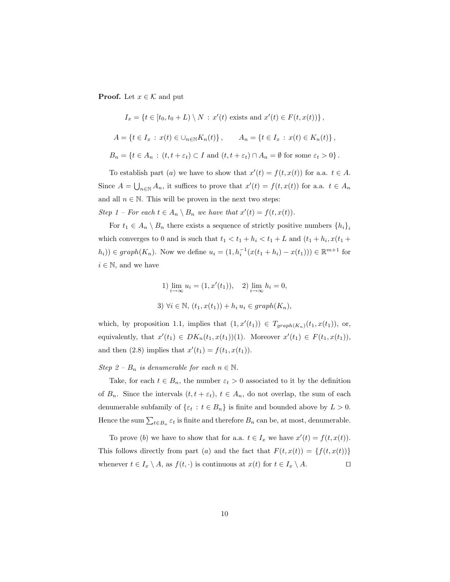**Proof.** Let  $x \in \mathcal{K}$  and put

$$
I_x = \{t \in [t_0, t_0 + L) \setminus N : x'(t) \text{ exists and } x'(t) \in F(t, x(t))\},\
$$
  

$$
A = \{t \in I_x : x(t) \in \bigcup_{n \in \mathbb{N}} K_n(t)\}, \qquad A_n = \{t \in I_x : x(t) \in K_n(t)\},\
$$
  

$$
B_n = \{t \in A_n : (t, t + \varepsilon_t) \subset I \text{ and } (t, t + \varepsilon_t) \cap A_n = \emptyset \text{ for some } \varepsilon_t > 0\}.
$$

To establish part (a) we have to show that  $x'(t) = f(t, x(t))$  for a.a.  $t \in A$ . Since  $A = \bigcup_{n \in \mathbb{N}} A_n$ , it suffices to prove that  $x'(t) = f(t, x(t))$  for a.a.  $t \in A_n$ and all  $n \in \mathbb{N}$ . This will be proven in the next two steps: Step 1 – For each  $t \in A_n \setminus B_n$  we have that  $x'(t) = f(t, x(t))$ .

For  $t_1 \in A_n \setminus B_n$  there exists a sequence of strictly positive numbers  $\{h_i\}_i$ which converges to 0 and is such that  $t_1 < t_1 + h_i < t_1 + L$  and  $(t_1 + h_i, x(t_1 +$  $(h_i)$ ) ∈ graph( $K_n$ ). Now we define  $u_i = (1, h_i^{-1}(x(t_1 + h_i) - x(t_1))) \in \mathbb{R}^{m+1}$  for  $i \in \mathbb{N}$ , and we have

1) 
$$
\lim_{i \to \infty} u_i = (1, x'(t_1)),
$$
 2)  $\lim_{i \to \infty} h_i = 0,$   
3)  $\forall i \in \mathbb{N}, (t_1, x(t_1)) + h_i u_i \in graph(K_n),$ 

which, by proposition 1.1, implies that  $(1, x'(t_1)) \in T_{graph(K_n)}(t_1, x(t_1)),$  or, equivalently, that  $x'(t_1) \in DK_n(t_1, x(t_1))$ (1). Moreover  $x'(t_1) \in F(t_1, x(t_1))$ , and then (2.8) implies that  $x'(t_1) = f(t_1, x(t_1)).$ 

Step 2 –  $B_n$  is denumerable for each  $n \in \mathbb{N}$ .

Take, for each  $t \in B_n$ , the number  $\varepsilon_t > 0$  associated to it by the definition of  $B_n$ . Since the intervals  $(t, t + \varepsilon_t)$ ,  $t \in A_n$ , do not overlap, the sum of each denumerable subfamily of  $\{\varepsilon_t : t \in B_n\}$  is finite and bounded above by  $L > 0$ . Hence the sum  $\sum_{t\in B_n} \varepsilon_t$  is finite and therefore  $B_n$  can be, at most, denumerable.

To prove (b) we have to show that for a.a.  $t \in I_x$  we have  $x'(t) = f(t, x(t))$ . This follows directly from part (a) and the fact that  $F(t, x(t)) = {f(t, x(t))}$ whenever  $t \in I_x \setminus A$ , as  $f(t, \cdot)$  is continuous at  $x(t)$  for  $t \in I_x \setminus A$ .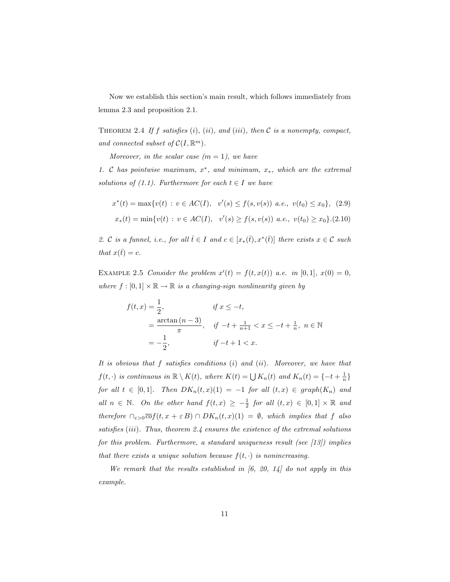Now we establish this section's main result, which follows immediately from lemma 2.3 and proposition 2.1.

THEOREM 2.4 If f satisfies  $(i)$ ,  $(ii)$ , and  $(iii)$ , then C is a nonempty, compact, and connected subset of  $C(I, \mathbb{R}^m)$ .

Moreover, in the scalar case  $(m = 1)$ , we have

1. C has pointwise maximum,  $x^*$ , and minimum,  $x_*$ , which are the extremal solutions of (1.1). Furthermore for each  $t \in I$  we have

$$
x^*(t) = \max\{v(t) : v \in AC(I), v'(s) \le f(s, v(s)) \ a.e., v(t_0) \le x_0\}, (2.9)
$$
  

$$
x_*(t) = \min\{v(t) : v \in AC(I), v'(s) \ge f(s, v(s)) \ a.e., v(t_0) \ge x_0\}. (2.10)
$$

2. C is a funnel, i.e., for all  $\overline{t} \in I$  and  $c \in [x_*(\overline{t}), x^*(\overline{t})]$  there exists  $x \in C$  such that  $x(\bar{t}) = c$ .

EXAMPLE 2.5 Consider the problem  $x'(t) = f(t, x(t))$  a.e. in [0,1],  $x(0) = 0$ , where  $f : [0,1] \times \mathbb{R} \to \mathbb{R}$  is a changing-sign nonlinearity given by

$$
f(t,x) = \frac{1}{2}, \qquad \text{if } x \le -t,
$$
  
=  $\frac{\arctan(n-3)}{\pi}$ , if  $-t + \frac{1}{n+1} < x \le -t + \frac{1}{n}$ ,  $n \in \mathbb{N}$   
=  $-\frac{1}{2}$ , if  $-t + 1 < x$ .

It is obvious that  $f$  satisfies conditions  $(i)$  and  $(ii)$ . Moreover, we have that  $f(t, \cdot)$  is continuous in  $\mathbb{R} \setminus K(t)$ , where  $K(t) = \bigcup K_n(t)$  and  $K_n(t) = \{-t + \frac{1}{n}\}$ for all  $t \in [0,1]$ . Then  $DK_n(t,x)(1) = -1$  for all  $(t,x) \in graph(K_n)$  and all  $n \in \mathbb{N}$ . On the other hand  $f(t,x) \geq -\frac{1}{2}$  for all  $(t,x) \in [0,1] \times \mathbb{R}$  and therefore  $\bigcap_{\varepsilon>0} \overline{co}f(t,x+\varepsilon B) \cap DK_n(t,x)(1) = \emptyset$ , which implies that f also satisfies (iii). Thus, theorem 2.4 ensures the existence of the extremal solutions for this problem. Furthermore, a standard uniqueness result (see  $(13)$ ) implies that there exists a unique solution because  $f(t, \cdot)$  is nonincreasing.

We remark that the results established in  $[6, 20, 14]$  do not apply in this example.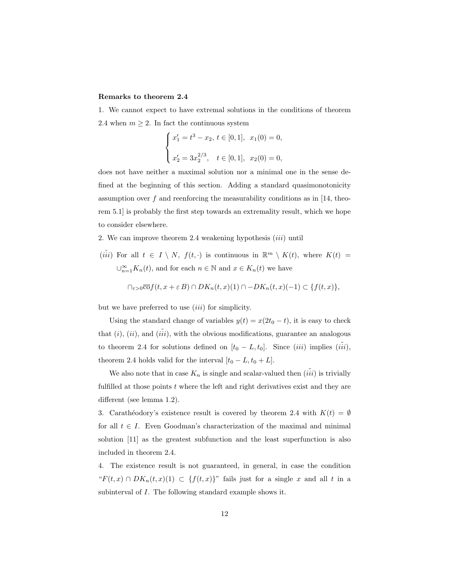#### Remarks to theorem 2.4

1. We cannot expect to have extremal solutions in the conditions of theorem 2.4 when  $m \geq 2$ . In fact the continuous system

$$
\begin{cases}\nx_1' = t^3 - x_2, \ t \in [0, 1], \ x_1(0) = 0, \\
x_2' = 3x_2^{2/3}, \ t \in [0, 1], \ x_2(0) = 0,\n\end{cases}
$$

does not have neither a maximal solution nor a minimal one in the sense defined at the beginning of this section. Adding a standard quasimonotonicity assumption over  $f$  and reenforcing the measurability conditions as in [14, theorem 5.1] is probably the first step towards an extremality result, which we hope to consider elsewhere.

- 2. We can improve theorem 2.4 weakening hypothesis  $(iii)$  until
- $(iii)$  For all  $t \in I \setminus N$ ,  $f(t, \cdot)$  is continuous in  $\mathbb{R}^m \setminus K(t)$ , where  $K(t) =$  $\bigcup_{n=1}^{\infty} K_n(t)$ , and for each  $n \in \mathbb{N}$  and  $x \in K_n(t)$  we have

$$
\bigcap_{\varepsilon>0}\overline{\mathrm{co}}f(t,x+\varepsilon B)\cap DK_n(t,x)(1)\cap -DK_n(t,x)(-1)\subset \{f(t,x)\},\
$$

but we have preferred to use  $(iii)$  for simplicity.

Using the standard change of variables  $y(t) = x(2t_0 - t)$ , it is easy to check that  $(i)$ ,  $(ii)$ , and  $(iii)$ , with the obvious modifications, guarantee an analogous to theorem 2.4 for solutions defined on  $[t_0 - L, t_0]$ . Since  $(iii)$  implies  $(iii)$ , theorem 2.4 holds valid for the interval  $[t_0 - L, t_0 + L]$ .

We also note that in case  $K_n$  is single and scalar-valued then  $(iii)$  is trivially fulfilled at those points  $t$  where the left and right derivatives exist and they are different (see lemma 1.2).

3. Carathéodory's existence result is covered by theorem 2.4 with  $K(t) = \emptyset$ for all  $t \in I$ . Even Goodman's characterization of the maximal and minimal solution [11] as the greatest subfunction and the least superfunction is also included in theorem 2.4.

4. The existence result is not guaranteed, in general, in case the condition " $F(t, x) \cap DK_n(t, x)(1) \subset \{f(t, x)\}$ " fails just for a single x and all t in a subinterval of I. The following standard example shows it.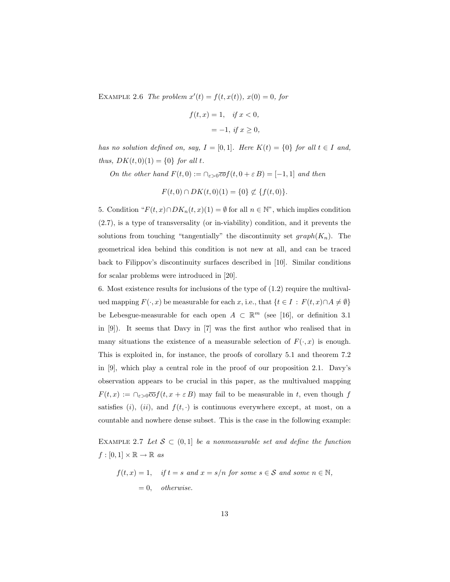EXAMPLE 2.6 The problem  $x'(t) = f(t, x(t))$ ,  $x(0) = 0$ , for

$$
f(t, x) = 1, \quad \text{if } x < 0,
$$
\n
$$
= -1, \text{ if } x \ge 0,
$$

has no solution defined on, say,  $I = [0, 1]$ . Here  $K(t) = \{0\}$  for all  $t \in I$  and, thus,  $DK(t, 0)(1) = \{0\}$  for all t.

On the other hand  $F(t, 0) := \bigcap_{\varepsilon > 0} \overline{co} f(t, 0 + \varepsilon B) = [-1, 1]$  and then

 $F(t, 0) \cap DK(t, 0)(1) = \{0\} \not\subset \{f(t, 0)\}.$ 

5. Condition " $F(t, x) \cap DK_n(t, x)(1) = \emptyset$  for all  $n \in \mathbb{N}$ ", which implies condition (2.7), is a type of transversality (or in-viability) condition, and it prevents the solutions from touching "tangentially" the discontinuity set  $graph(K_n)$ . The geometrical idea behind this condition is not new at all, and can be traced back to Filippov's discontinuity surfaces described in [10]. Similar conditions for scalar problems were introduced in [20].

6. Most existence results for inclusions of the type of (1.2) require the multivalued mapping  $F(\cdot, x)$  be measurable for each x, i.e., that  $\{t \in I : F(t, x) \cap A \neq \emptyset\}$ be Lebesgue-measurable for each open  $A \subset \mathbb{R}^m$  (see [16], or definition 3.1 in [9]). It seems that Davy in [7] was the first author who realised that in many situations the existence of a measurable selection of  $F(\cdot, x)$  is enough. This is exploited in, for instance, the proofs of corollary 5.1 and theorem 7.2 in [9], which play a central role in the proof of our proposition 2.1. Davy's observation appears to be crucial in this paper, as the multivalued mapping  $F(t, x) := \bigcap_{\varepsilon > 0} \overline{\mathrm{co}} f(t, x + \varepsilon B)$  may fail to be measurable in t, even though f satisfies (i), (ii), and  $f(t, \cdot)$  is continuous everywhere except, at most, on a countable and nowhere dense subset. This is the case in the following example:

EXAMPLE 2.7 Let  $S \subset (0,1]$  be a nonmeasurable set and define the function  $f : [0,1] \times \mathbb{R} \to \mathbb{R}$  as

$$
f(t, x) = 1
$$
, if  $t = s$  and  $x = s/n$  for some  $s \in S$  and some  $n \in \mathbb{N}$ ,  
= 0, otherwise.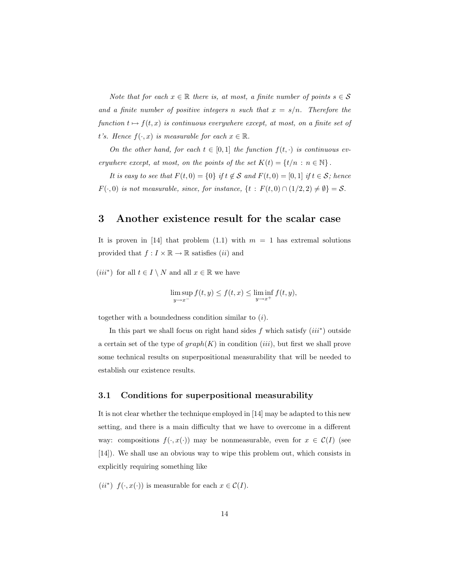Note that for each  $x \in \mathbb{R}$  there is, at most, a finite number of points  $s \in \mathcal{S}$ and a finite number of positive integers n such that  $x = s/n$ . Therefore the function  $t \mapsto f(t, x)$  is continuous everywhere except, at most, on a finite set of t's. Hence  $f(\cdot, x)$  is measurable for each  $x \in \mathbb{R}$ .

On the other hand, for each  $t \in [0,1]$  the function  $f(t, \cdot)$  is continuous everywhere except, at most, on the points of the set  $K(t) = \{t/n : n \in \mathbb{N}\}.$ 

It is easy to see that  $F(t, 0) = \{0\}$  if  $t \notin S$  and  $F(t, 0) = [0, 1]$  if  $t \in S$ ; hence  $F(\cdot, 0)$  is not measurable, since, for instance,  $\{t : F(t, 0) \cap (1/2, 2) \neq \emptyset\} = S$ .

## 3 Another existence result for the scalar case

It is proven in [14] that problem (1.1) with  $m = 1$  has extremal solutions provided that  $f: I \times \mathbb{R} \to \mathbb{R}$  satisfies (*ii*) and

(iii<sup>\*</sup>) for all  $t \in I \setminus N$  and all  $x \in \mathbb{R}$  we have

$$
\limsup_{y \to x^{-}} f(t, y) \le f(t, x) \le \liminf_{y \to x^{+}} f(t, y),
$$

together with a boundedness condition similar to  $(i)$ .

In this part we shall focus on right hand sides  $f$  which satisfy  $(iii^*)$  outside a certain set of the type of  $graph(K)$  in condition *(iii)*, but first we shall prove some technical results on superpositional measurability that will be needed to establish our existence results.

#### 3.1 Conditions for superpositional measurability

It is not clear whether the technique employed in [14] may be adapted to this new setting, and there is a main difficulty that we have to overcome in a different way: compositions  $f(\cdot, x(\cdot))$  may be nonmeasurable, even for  $x \in C(I)$  (see [14]). We shall use an obvious way to wipe this problem out, which consists in explicitly requiring something like

(ii<sup>\*</sup>)  $f(\cdot, x(\cdot))$  is measurable for each  $x \in C(I)$ .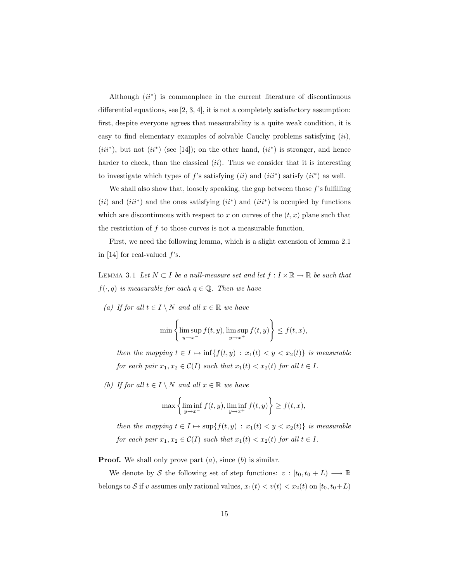Although  $(ii^*)$  is commonplace in the current literature of discontinuous differential equations, see  $[2, 3, 4]$ , it is not a completely satisfactory assumption: first, despite everyone agrees that measurability is a quite weak condition, it is easy to find elementary examples of solvable Cauchy problems satisfying  $(ii)$ ,  $(iii^*)$ , but not  $(ii^*)$  (see [14]); on the other hand,  $(ii^*)$  is stronger, and hence harder to check, than the classical  $(ii)$ . Thus we consider that it is interesting to investigate which types of  $f$ 's satisfying  $(ii)$  and  $(iii^*)$  satisfy  $(ii^*)$  as well.

We shall also show that, loosely speaking, the gap between those  $f$ 's fulfilling  $(ii)$  and  $(iii^*)$  and the ones satisfying  $(ii^*)$  and  $(iii^*)$  is occupied by functions which are discontinuous with respect to x on curves of the  $(t, x)$  plane such that the restriction of f to those curves is not a measurable function.

First, we need the following lemma, which is a slight extension of lemma 2.1 in [14] for real-valued  $f$ 's.

LEMMA 3.1 Let  $N \subset I$  be a null-measure set and let  $f : I \times \mathbb{R} \to \mathbb{R}$  be such that  $f(\cdot, q)$  is measurable for each  $q \in \mathbb{Q}$ . Then we have

(a) If for all  $t \in I \setminus N$  and all  $x \in \mathbb{R}$  we have

$$
\min\left\{\limsup_{y\to x^{-}} f(t,y), \limsup_{y\to x^{+}} f(t,y)\right\} \le f(t,x),
$$

then the mapping  $t \in I \mapsto \inf\{f(t, y) : x_1(t) < y < x_2(t)\}$  is measurable for each pair  $x_1, x_2 \in \mathcal{C}(I)$  such that  $x_1(t) < x_2(t)$  for all  $t \in I$ .

(b) If for all  $t \in I \setminus N$  and all  $x \in \mathbb{R}$  we have

$$
\max\left\{\liminf_{y\to x^{-}} f(t,y), \liminf_{y\to x^{+}} f(t,y)\right\} \ge f(t,x),
$$

then the mapping  $t \in I \mapsto \sup\{f(t, y) : x_1(t) < y < x_2(t)\}$  is measurable for each pair  $x_1, x_2 \in \mathcal{C}(I)$  such that  $x_1(t) < x_2(t)$  for all  $t \in I$ .

**Proof.** We shall only prove part  $(a)$ , since  $(b)$  is similar.

We denote by S the following set of step functions:  $v : [t_0, t_0 + L) \longrightarrow \mathbb{R}$ belongs to S if v assumes only rational values,  $x_1(t) < v(t) < x_2(t)$  on  $[t_0, t_0 + L)$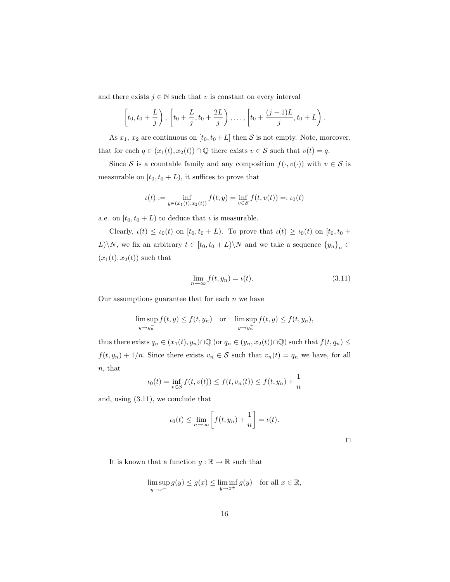and there exists  $j \in \mathbb{N}$  such that v is constant on every interval

$$
\[t_0, t_0 + \frac{L}{j}\], \left[t_0 + \frac{L}{j}, t_0 + \frac{2L}{j}\right), \dots, \left[t_0 + \frac{(j-1)L}{j}, t_0 + L\right).
$$

As  $x_1, x_2$  are continuous on  $[t_0, t_0 + L]$  then S is not empty. Note, moreover, that for each  $q \in (x_1(t), x_2(t)) \cap \mathbb{Q}$  there exists  $v \in \mathcal{S}$  such that  $v(t) = q$ .

Since S is a countable family and any composition  $f(\cdot, v(\cdot))$  with  $v \in S$  is measurable on  $[t_0, t_0 + L)$ , it suffices to prove that

$$
\iota(t) := \inf_{y \in (x_1(t), x_2(t))} f(t, y) = \inf_{v \in S} f(t, v(t)) =: \iota_0(t)
$$

a.e. on  $[t_0, t_0 + L)$  to deduce that  $\iota$  is measurable.

Clearly,  $\iota(t) \leq \iota_0(t)$  on  $[t_0, t_0 + L)$ . To prove that  $\iota(t) \geq \iota_0(t)$  on  $[t_0, t_0 + L]$ .  $L)\backslash N,$  we fix an arbitrary  $t \in [t_0, t_0 + L)\backslash N$  and we take a sequence  $\{y_n\}_n$  ⊂  $(x_1(t), x_2(t))$  such that

$$
\lim_{n \to \infty} f(t, y_n) = \iota(t). \tag{3.11}
$$

Our assumptions guarantee that for each  $n$  we have

$$
\limsup_{y \to y_n^{-}} f(t, y) \le f(t, y_n) \quad \text{or} \quad \limsup_{y \to y_n^{+}} f(t, y) \le f(t, y_n),
$$

thus there exists  $q_n \in (x_1(t), y_n) \cap \mathbb{Q}$  (or  $q_n \in (y_n, x_2(t)) \cap \mathbb{Q}$ ) such that  $f(t, q_n) \leq$  $f(t, y_n) + 1/n$ . Since there exists  $v_n \in \mathcal{S}$  such that  $v_n(t) = q_n$  we have, for all n, that

$$
u_0(t) = \inf_{v \in S} f(t, v(t)) \le f(t, v_n(t)) \le f(t, y_n) + \frac{1}{n}
$$

and, using (3.11), we conclude that

$$
\iota_0(t) \le \lim_{n \to \infty} \left[ f(t, y_n) + \frac{1}{n} \right] = \iota(t).
$$

 $\Box$ 

It is known that a function  $g:\mathbb{R}\rightarrow\mathbb{R}$  such that

$$
\limsup_{y \to x^{-}} g(y) \le g(x) \le \liminf_{y \to x^{+}} g(y) \quad \text{for all } x \in \mathbb{R},
$$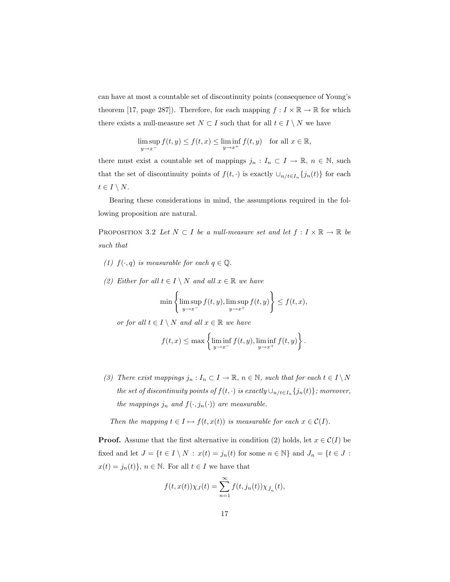can have at most a countable set of discontinuity points (consequence of Young's theorem [17, page 287]). Therefore, for each mapping  $f: I \times \mathbb{R} \to \mathbb{R}$  for which there exists a null-measure set  $N \subset I$  such that for all  $t \in I \setminus N$  we have

$$
\limsup_{y \to x^{-}} f(t, y) \le f(t, x) \le \liminf_{y \to x^{+}} f(t, y) \quad \text{for all } x \in \mathbb{R},
$$

there must exist a countable set of mappings  $j_n: I_n \subset I \to \mathbb{R}, n \in \mathbb{N}$ , such that the set of discontinuity points of  $f(t, \cdot)$  is exactly  $\cup_{n \neq t} \{j_n(t)\}\)$  for each  $t \in I \setminus N$ .

Bearing these considerations in mind, the assumptions required in the following proposition are natural.

PROPOSITION 3.2 Let  $N \subset I$  be a null-measure set and let  $f: I \times \mathbb{R} \to \mathbb{R}$  be such that

- (1)  $f(\cdot, q)$  is measurable for each  $q \in \mathbb{Q}$ .
- (2) Either for all  $t \in I \setminus N$  and all  $x \in \mathbb{R}$  we have

$$
\min\left\{\limsup_{y\to x^{-}} f(t,y), \limsup_{y\to x^{+}} f(t,y)\right\} \le f(t,x),
$$

or for all  $t \in I \setminus N$  and all  $x \in \mathbb{R}$  we have

$$
f(t,x) \leq \max \left\{ \liminf_{y \to x^{-}} f(t,y), \liminf_{y \to x^{+}} f(t,y) \right\}.
$$

(3) There exist mappings  $j_n: I_n \subset I \to \mathbb{R}$ ,  $n \in \mathbb{N}$ , such that for each  $t \in I \setminus N$ the set of discontinuity points of  $f(t, \cdot)$  is exactly  $\cup_{n/t \in I_n} \{j_n(t)\}$ ; moreover, the mappings  $j_n$  and  $f(\cdot, j_n(\cdot))$  are measurable.

Then the mapping  $t \in I \mapsto f(t, x(t))$  is measurable for each  $x \in C(I)$ .

**Proof.** Assume that the first alternative in condition (2) holds, let  $x \in C(I)$  be fixed and let  $J = \{t \in I \setminus N \, : \, x(t) = j_n(t) \text{ for some } n \in \mathbb{N}\}$  and  $J_n = \{t \in J \, : \,$  $x(t)=j_n(t)\},\,n\in\mathbb{N}.$  For all  $t\in I$  we have that

$$
f(t, x(t))\chi_J(t) = \sum_{n=1}^{\infty} f(t, j_n(t))\chi_{\tilde{J}_n}(t),
$$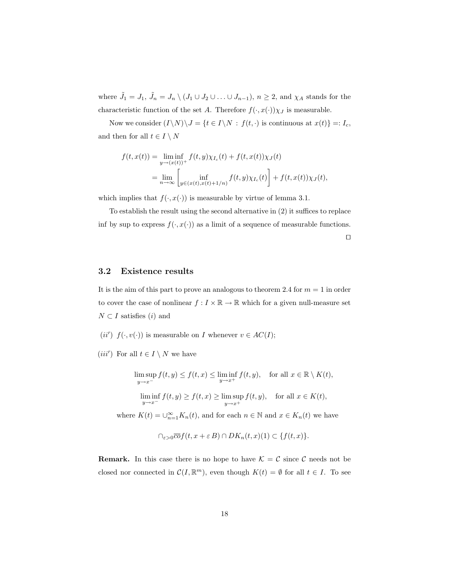where  $\tilde{J}_1 = J_1$ ,  $\tilde{J}_n = J_n \setminus (J_1 \cup J_2 \cup \ldots \cup J_{n-1})$ ,  $n \geq 2$ , and  $\chi_A$  stands for the characteristic function of the set  $A.$  Therefore  $f(\cdot,x(\cdot))\chi_J$  is measurable.

Now we consider  $(I \backslash N) \backslash J = \{t \in I \backslash N \,:\, f(t, \cdot) \text{ is continuous at } x(t)\} =: I_c,$ and then for all  $t \in I \setminus N$ 

$$
f(t, x(t)) = \liminf_{y \to (x(t))^{+}} f(t, y) \chi_{I_c}(t) + f(t, x(t)) \chi_{J}(t)
$$
  
= 
$$
\lim_{n \to \infty} \left[ \inf_{y \in (x(t), x(t) + 1/n)} f(t, y) \chi_{I_c}(t) \right] + f(t, x(t)) \chi_{J}(t),
$$

which implies that  $f(\cdot, x(\cdot))$  is measurable by virtue of lemma 3.1.

To establish the result using the second alternative in (2) it suffices to replace inf by sup to express  $f(\cdot, x(\cdot))$  as a limit of a sequence of measurable functions.

 $\Box$ 

#### 3.2 Existence results

It is the aim of this part to prove an analogous to theorem 2.4 for  $m = 1$  in order to cover the case of nonlinear  $f: I \times \mathbb{R} \to \mathbb{R}$  which for a given null-measure set  $N \subset I$  satisfies (*i*) and

(ii')  $f(\cdot, v(\cdot))$  is measurable on I whenever  $v \in AC(I);$ 

(*iii'*) For all  $t \in I \setminus N$  we have

$$
\limsup_{y \to x^{-}} f(t, y) \le f(t, x) \le \liminf_{y \to x^{+}} f(t, y), \quad \text{for all } x \in \mathbb{R} \setminus K(t),
$$

$$
\liminf_{y \to x^{-}} f(t, y) \ge f(t, x) \ge \limsup_{y \to x^{+}} f(t, y), \quad \text{for all } x \in K(t),
$$

where  $K(t) = \bigcup_{n=1}^{\infty} K_n(t)$ , and for each  $n \in \mathbb{N}$  and  $x \in K_n(t)$  we have

$$
\bigcap_{\varepsilon>0}\overline{co}f(t,x+\varepsilon B)\cap DK_n(t,x)(1)\subset\{f(t,x)\}.
$$

**Remark.** In this case there is no hope to have  $K = C$  since C needs not be closed nor connected in  $\mathcal{C}(I,\mathbb{R}^m)$ , even though  $K(t) = \emptyset$  for all  $t \in I$ . To see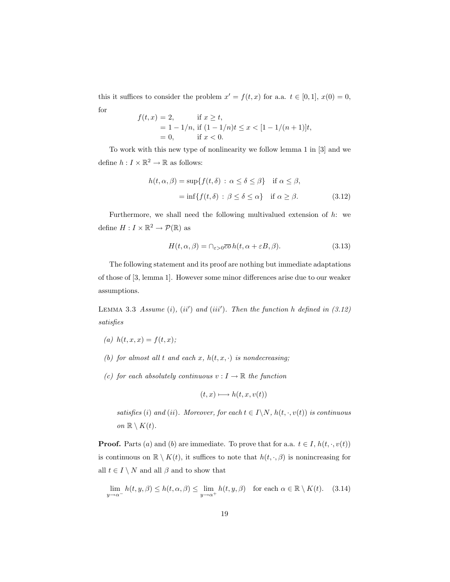this it suffices to consider the problem  $x' = f(t, x)$  for a.a.  $t \in [0, 1], x(0) = 0$ , for

$$
f(t,x) = 2,
$$
 if  $x \ge t$ ,  
= 1 - 1/n, if  $(1 - 1/n)t \le x < [1 - 1/(n+1)]t$ ,  
= 0, if  $x < 0$ .

To work with this new type of nonlinearity we follow lemma 1 in [3] and we define  $h: I \times \mathbb{R}^2 \to \mathbb{R}$  as follows:

$$
h(t, \alpha, \beta) = \sup \{ f(t, \delta) : \alpha \le \delta \le \beta \} \quad \text{if } \alpha \le \beta,
$$
  
= 
$$
\inf \{ f(t, \delta) : \beta \le \delta \le \alpha \} \quad \text{if } \alpha \ge \beta.
$$
 (3.12)

Furthermore, we shall need the following multivalued extension of  $h$ : we define  $H: I \times \mathbb{R}^2 \to \mathcal{P}(\mathbb{R})$  as

$$
H(t, \alpha, \beta) = \bigcap_{\varepsilon > 0} \overline{co} h(t, \alpha + \varepsilon B, \beta). \tag{3.13}
$$

The following statement and its proof are nothing but immediate adaptations of those of [3, lemma 1]. However some minor differences arise due to our weaker assumptions.

LEMMA 3.3 Assume (i),  $(ii')$  and  $(iii')$ . Then the function h defined in  $(3.12)$ satisfies

- (a)  $h(t, x, x) = f(t, x);$
- (b) for almost all t and each x,  $h(t, x, \cdot)$  is nondecreasing;
- (c) for each absolutely continuous  $v : I \to \mathbb{R}$  the function

$$
(t, x) \longmapsto h(t, x, v(t))
$$

satisfies (i) and (ii). Moreover, for each  $t \in I \backslash N$ ,  $h(t, \cdot, v(t))$  is continuous on  $\mathbb{R} \setminus K(t)$ .

**Proof.** Parts (a) and (b) are immediate. To prove that for a.a.  $t \in I$ ,  $h(t, \cdot, v(t))$ is continuous on  $\mathbb{R} \setminus K(t)$ , it suffices to note that  $h(t, \cdot, \beta)$  is nonincreasing for all  $t \in I \setminus N$  and all  $\beta$  and to show that

$$
\lim_{y \to \alpha^{-}} h(t, y, \beta) \le h(t, \alpha, \beta) \le \lim_{y \to \alpha^{+}} h(t, y, \beta) \quad \text{for each } \alpha \in \mathbb{R} \setminus K(t). \tag{3.14}
$$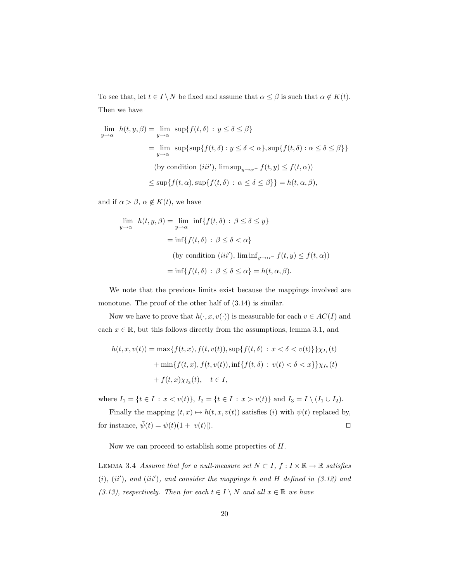To see that, let  $t \in I \setminus N$  be fixed and assume that  $\alpha \leq \beta$  is such that  $\alpha \notin K(t)$ . Then we have

$$
\lim_{y \to \alpha^{-}} h(t, y, \beta) = \lim_{y \to \alpha^{-}} \sup \{ f(t, \delta) : y \le \delta \le \beta \}
$$
  
\n
$$
= \lim_{y \to \alpha^{-}} \sup \{ \sup \{ f(t, \delta) : y \le \delta < \alpha \}, \sup \{ f(t, \delta) : \alpha \le \delta \le \beta \} \}
$$
  
\n(by condition *(iii')*,  $\limsup_{y \to \alpha^{-}} f(t, y) \le f(t, \alpha)$ )  
\n
$$
\le \sup \{ f(t, \alpha), \sup \{ f(t, \delta) : \alpha \le \delta \le \beta \} \} = h(t, \alpha, \beta),
$$

and if  $\alpha > \beta$ ,  $\alpha \notin K(t)$ , we have

$$
\lim_{y \to \alpha^{-}} h(t, y, \beta) = \lim_{y \to \alpha^{-}} \inf \{ f(t, \delta) : \beta \le \delta \le y \}
$$

$$
= \inf \{ f(t, \delta) : \beta \le \delta < \alpha \}
$$
  
(by condition *(iii')*,  $\liminf_{y \to \alpha^{-}} f(t, y) \le f(t, \alpha)$ )
$$
= \inf \{ f(t, \delta) : \beta \le \delta \le \alpha \} = h(t, \alpha, \beta).
$$

We note that the previous limits exist because the mappings involved are monotone. The proof of the other half of  $(3.14)$  is similar.

Now we have to prove that  $h(\cdot, x, v(\cdot))$  is measurable for each  $v \in AC(I)$  and each  $x \in \mathbb{R}$ , but this follows directly from the assumptions, lemma 3.1, and

$$
h(t, x, v(t)) = \max\{f(t, x), f(t, v(t)), \sup\{f(t, \delta) : x < \delta < v(t)\}\}\chi_{I_1}(t)
$$

$$
+ \min\{f(t, x), f(t, v(t)), \inf\{f(t, \delta) : v(t) < \delta < x\}\}\chi_{I_2}(t)
$$

$$
+ f(t, x)\chi_{I_3}(t), \quad t \in I,
$$

where  $I_1 = \{t \in I : x < v(t)\}, I_2 = \{t \in I : x > v(t)\}$  and  $I_3 = I \setminus (I_1 \cup I_2)$ .

Finally the mapping  $(t, x) \mapsto h(t, x, v(t))$  satisfies (i) with  $\psi(t)$  replaced by, for instance,  $\bar{\psi}(t) = \psi(t)(1 + |v(t)|)$ .

Now we can proceed to establish some properties of H.

LEMMA 3.4 Assume that for a null-measure set  $N \subset I$ ,  $f: I \times \mathbb{R} \to \mathbb{R}$  satisfies  $(i), (ii'), and (iii'), and consider the mappings h and H defined in (3.12) and$ (3.13), respectively. Then for each  $t \in I \setminus N$  and all  $x \in \mathbb{R}$  we have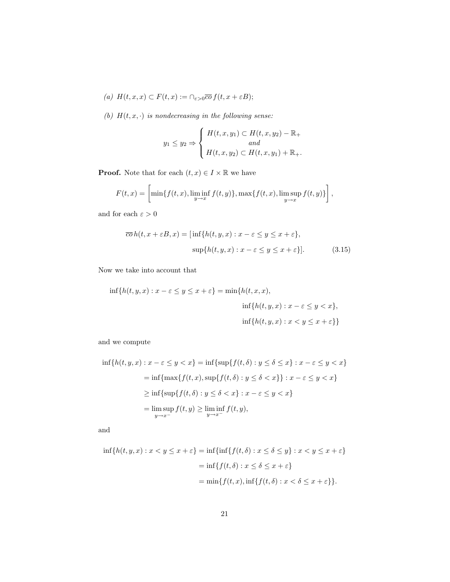- (a)  $H(t, x, x) \subset F(t, x) := \bigcap_{\varepsilon > 0} \overline{co} f(t, x + \varepsilon B);$
- (b)  $H(t, x, \cdot)$  is nondecreasing in the following sense:

$$
y_1 \le y_2 \Rightarrow \begin{cases} H(t, x, y_1) \subset H(t, x, y_2) - \mathbb{R}_+ \\ and \\ H(t, x, y_2) \subset H(t, x, y_1) + \mathbb{R}_+ .\end{cases}
$$

**Proof.** Note that for each  $(t, x) \in I \times \mathbb{R}$  we have

$$
F(t,x) = \left[\min\{f(t,x), \liminf_{y\to x} f(t,y)\}, \max\{f(t,x), \limsup_{y\to x} f(t,y)\}\right],
$$

and for each  $\varepsilon>0$ 

$$
\overline{co} h(t, x + \varepsilon B, x) = [\inf\{h(t, y, x) : x - \varepsilon \le y \le x + \varepsilon\},\
$$

$$
\sup\{h(t, y, x) : x - \varepsilon \le y \le x + \varepsilon\}].
$$
(3.15)

Now we take into account that

$$
\inf\{h(t,y,x):x-\varepsilon\leq y\leq x+\varepsilon\}=\min\{h(t,x,x),
$$
  

$$
\inf\{h(t,y,x):x-\varepsilon\leq y  

$$
\inf\{h(t,y,x):x
$$
$$

and we compute

$$
\inf\{h(t,y,x):x-\varepsilon\leq y\n
$$
=\inf\{\max\{f(t,x),\sup\{f(t,\delta):y\leq \delta\n
$$
\geq \inf\{\sup\{f(t,\delta):y\leq \delta\n
$$
=\limsup_{y\to x^{-}}f(t,y)\geq \liminf_{y\to x^{-}}f(t,y),
$$
$$
$$
$$

and

$$
\inf\{h(t, y, x) : x < y \le x + \varepsilon\} = \inf\{\inf\{f(t, \delta) : x \le \delta \le y\} : x < y \le x + \varepsilon\}
$$
\n
$$
= \inf\{f(t, \delta) : x \le \delta \le x + \varepsilon\}
$$
\n
$$
= \min\{f(t, x), \inf\{f(t, \delta) : x < \delta \le x + \varepsilon\}\}.
$$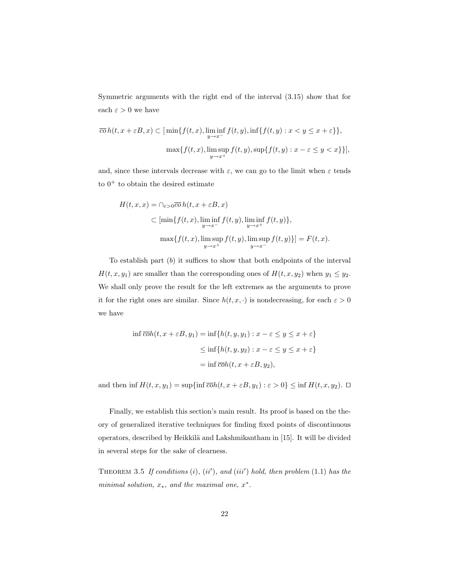Symmetric arguments with the right end of the interval (3.15) show that for each  $\varepsilon > 0$  we have

$$
\overline{co} h(t, x + \varepsilon B, x) \subset \left[ \min \{ f(t, x), \liminf_{y \to x^{-}} f(t, y), \inf \{ f(t, y) : x < y \le x + \varepsilon \} \right],
$$
  

$$
\max \{ f(t, x), \limsup_{y \to x^{+}} f(t, y), \sup \{ f(t, y) : x - \varepsilon \le y < x \} \} \right],
$$

and, since these intervals decrease with  $\varepsilon$ , we can go to the limit when  $\varepsilon$  tends to  $0^+$  to obtain the desired estimate

$$
H(t, x, x) = \bigcap_{\varepsilon > 0} \overline{co} h(t, x + \varepsilon B, x)
$$
  
\n
$$
\subset \left[ \min \{ f(t, x), \liminf_{y \to x^{-}} f(t, y), \liminf_{y \to x^{+}} f(t, y) \}, \right]
$$
  
\n
$$
\max \{ f(t, x), \limsup_{y \to x^{+}} f(t, y), \limsup_{y \to x^{-}} f(t, y) \} \} = F(t, x).
$$

To establish part  $(b)$  it suffices to show that both endpoints of the interval  $H(t, x, y_1)$  are smaller than the corresponding ones of  $H(t, x, y_2)$  when  $y_1 \le y_2$ . We shall only prove the result for the left extremes as the arguments to prove it for the right ones are similar. Since  $h(t, x, \cdot)$  is nondecreasing, for each  $\varepsilon > 0$ we have

$$
\inf \overline{coh}(t, x + \varepsilon B, y_1) = \inf \{ h(t, y, y_1) : x - \varepsilon \le y \le x + \varepsilon \}
$$

$$
\le \inf \{ h(t, y, y_2) : x - \varepsilon \le y \le x + \varepsilon \}
$$

$$
= \inf \overline{coh}(t, x + \varepsilon B, y_2),
$$

and then inf  $H(t, x, y_1) = \sup\{\inf \overline{coh}(t, x + \varepsilon B, y_1) : \varepsilon > 0\} \le \inf H(t, x, y_2)$ .  $\Box$ 

Finally, we establish this section's main result. Its proof is based on the theory of generalized iterative techniques for finding fixed points of discontinuous operators, described by Heikkilä and Lakshmikantham in [15]. It will be divided in several steps for the sake of clearness.

THEOREM 3.5 If conditions  $(i)$ ,  $(ii')$ , and  $(iii')$  hold, then problem  $(1.1)$  has the minimal solution,  $x_*$ , and the maximal one,  $x^*$ .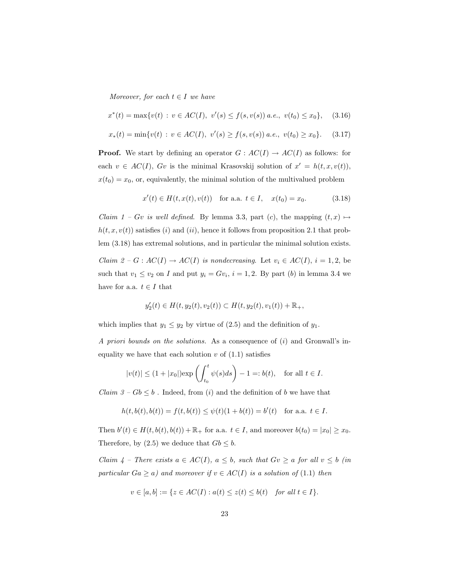Moreover, for each  $t \in I$  we have

$$
x^*(t) = \max\{v(t) : v \in AC(I), v'(s) \le f(s, v(s)) \ a.e., v(t_0) \le x_0\}, \quad (3.16)
$$

$$
x_*(t) = \min\{v(t) : v \in AC(I), \ v'(s) \ge f(s, v(s)) \ a.e., \ v(t_0) \ge x_0\}.
$$
 (3.17)

**Proof.** We start by defining an operator  $G : AC(I) \to AC(I)$  as follows: for each  $v \in AC(I)$ ,  $Gv$  is the minimal Krasovskij solution of  $x' = h(t, x, v(t)),$  $x(t_0) = x_0$ , or, equivalently, the minimal solution of the multivalued problem

$$
x'(t) \in H(t, x(t), v(t)) \quad \text{for a.a. } t \in I, \quad x(t_0) = x_0. \tag{3.18}
$$

Claim 1 – Gv is well defined. By lemma 3.3, part (c), the mapping  $(t, x) \mapsto$  $h(t, x, v(t))$  satisfies (i) and (ii), hence it follows from proposition 2.1 that problem (3.18) has extremal solutions, and in particular the minimal solution exists. *Claim 2 – G : AC(I) → AC(I) is nondecreasing.* Let  $v_i \in AC(I)$ ,  $i = 1, 2$ , be such that  $v_1 \le v_2$  on I and put  $y_i = Gv_i$ ,  $i = 1, 2$ . By part (b) in lemma 3.4 we have for a.a.  $t \in I$  that

$$
y_2'(t) \in H(t, y_2(t), v_2(t)) \subset H(t, y_2(t), v_1(t)) + \mathbb{R}_+,
$$

which implies that  $y_1 \le y_2$  by virtue of (2.5) and the definition of  $y_1$ .

A priori bounds on the solutions. As a consequence of  $(i)$  and Gronwall's inequality we have that each solution  $v$  of  $(1.1)$  satisfies

$$
|v(t)| \le (1+|x_0|)\exp\left(\int_{t_0}^t \psi(s)ds\right) - 1 =: b(t), \quad \text{for all } t \in I.
$$

*Claim*  $3 - Gb \leq b$ . Indeed, from (i) and the definition of b we have that

$$
h(t, b(t), b(t)) = f(t, b(t)) \le \psi(t)(1 + b(t)) = b'(t) \text{ for a.a. } t \in I.
$$

Then  $b'(t) \in H(t, b(t), b(t)) + \mathbb{R}_+$  for a.a.  $t \in I$ , and moreover  $b(t_0) = |x_0| \ge x_0$ . Therefore, by (2.5) we deduce that  $Gb \leq b$ .

Claim  $4$  – There exists  $a \in AC(I)$ ,  $a \leq b$ , such that  $Gv \geq a$  for all  $v \leq b$  (in particular  $Ga \ge a$ ) and moreover if  $v \in AC(I)$  is a solution of (1.1) then

$$
v \in [a, b] := \{ z \in AC(I) : a(t) \le z(t) \le b(t) \quad \text{for all } t \in I \}.
$$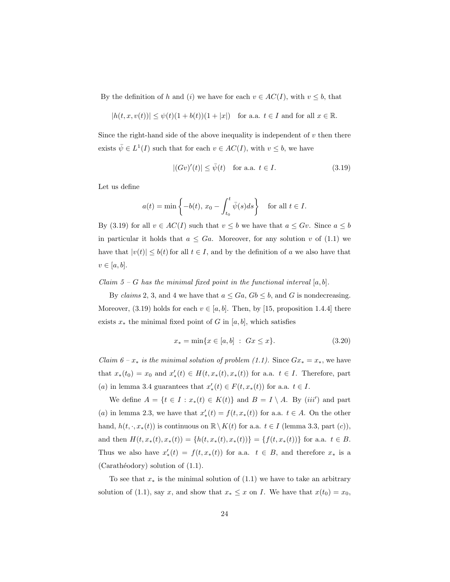By the definition of h and (i) we have for each  $v \in AC(I)$ , with  $v \leq b$ , that

$$
|h(t, x, v(t))| \le \psi(t)(1 + b(t))(1 + |x|)
$$
 for a.a.  $t \in I$  and for all  $x \in \mathbb{R}$ .

Since the right-hand side of the above inequality is independent of  $v$  then there exists  $\bar{\psi} \in L^1(I)$  such that for each  $v \in AC(I)$ , with  $v \leq b$ , we have

$$
|(Gv)'(t)| \le \bar{\psi}(t) \quad \text{for a.a. } t \in I.
$$
\n(3.19)

Let us define

$$
a(t) = \min\left\{-b(t), x_0 - \int_{t_0}^t \bar{\psi}(s)ds\right\} \quad \text{for all } t \in I.
$$

By (3.19) for all  $v \in AC(I)$  such that  $v \leq b$  we have that  $a \leq Gv$ . Since  $a \leq b$ in particular it holds that  $a \leq Ga$ . Moreover, for any solution v of (1.1) we have that  $|v(t)| \leq b(t)$  for all  $t \in I$ , and by the definition of a we also have that  $v \in [a, b]$ .

Claim  $5 - G$  has the minimal fixed point in the functional interval  $[a, b]$ .

By claims 2, 3, and 4 we have that  $a \leq Ga$ ,  $Gb \leq b$ , and G is nondecreasing. Moreover, (3.19) holds for each  $v \in [a, b]$ . Then, by [15, proposition 1.4.4] there exists  $x_*$  the minimal fixed point of G in [a, b], which satisfies

$$
x_* = \min\{x \in [a, b] : Gx \le x\}.
$$
\n(3.20)

Claim 6 –  $x_*$  is the minimal solution of problem (1.1). Since  $Gx_* = x_*$ , we have that  $x_*(t_0) = x_0$  and  $x'_*(t) \in H(t, x_*(t), x_*(t))$  for a.a.  $t \in I$ . Therefore, part (a) in lemma 3.4 guarantees that  $x'_{*}(t) \in F(t, x_{*}(t))$  for a.a.  $t \in I$ .

We define  $A = \{t \in I : x_*(t) \in K(t)\}\$  and  $B = I \setminus A$ . By  $(iii')$  and part (a) in lemma 2.3, we have that  $x'_*(t) = f(t, x_*(t))$  for a.a.  $t \in A$ . On the other hand,  $h(t, \cdot, x_*(t))$  is continuous on  $\mathbb{R}\setminus K(t)$  for a.a.  $t \in I$  (lemma 3.3, part  $(c)$ ), and then  $H(t, x_*(t), x_*(t)) = \{h(t, x_*(t), x_*(t))\} = \{f(t, x_*(t))\}$  for a.a.  $t \in B$ . Thus we also have  $x'_{*}(t) = f(t, x_{*}(t))$  for a.a.  $t \in B$ , and therefore  $x_{*}$  is a  $(Carathéodory)$  solution of  $(1.1)$ .

To see that  $x_*$  is the minimal solution of  $(1.1)$  we have to take an arbitrary solution of (1.1), say x, and show that  $x_* \leq x$  on I. We have that  $x(t_0) = x_0$ ,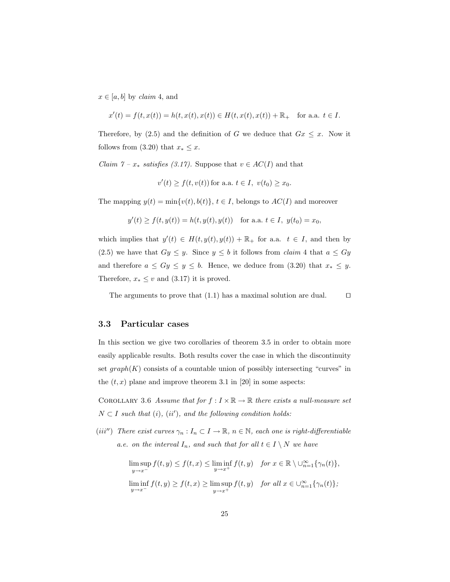$x \in [a, b]$  by *claim* 4, and

$$
x'(t) = f(t, x(t)) = h(t, x(t), x(t)) \in H(t, x(t), x(t)) + \mathbb{R}_{+}
$$
 for a.a.  $t \in I$ .

Therefore, by (2.5) and the definition of G we deduce that  $G_x \leq x$ . Now it follows from (3.20) that  $x_* \leq x$ .

*Claim*  $7 - x_*$  *satisfies (3.17)*. Suppose that  $v \in AC(I)$  and that

$$
v'(t) \ge f(t, v(t))
$$
 for a.a.  $t \in I$ ,  $v(t_0) \ge x_0$ .

The mapping  $y(t) = \min\{v(t), b(t)\}, t \in I$ , belongs to  $AC(I)$  and moreover

$$
y'(t) \ge f(t, y(t)) = h(t, y(t), y(t))
$$
 for a.a.  $t \in I$ ,  $y(t_0) = x_0$ ,

which implies that  $y'(t) \in H(t, y(t), y(t)) + \mathbb{R}_+$  for a.a.  $t \in I$ , and then by (2.5) we have that  $Gy \leq y$ . Since  $y \leq b$  it follows from *claim* 4 that  $a \leq Gy$ and therefore  $a \le Gy \le y \le b$ . Hence, we deduce from (3.20) that  $x_* \le y$ . Therefore,  $x_* \leq v$  and (3.17) it is proved.

The arguments to prove that  $(1.1)$  has a maximal solution are dual.  $\square$ 

#### 3.3 Particular cases

In this section we give two corollaries of theorem 3.5 in order to obtain more easily applicable results. Both results cover the case in which the discontinuity set  $graph(K)$  consists of a countable union of possibly intersecting "curves" in the  $(t, x)$  plane and improve theorem 3.1 in [20] in some aspects:

COROLLARY 3.6 Assume that for  $f: I \times \mathbb{R} \to \mathbb{R}$  there exists a null-measure set  $N \subset I$  such that (i), (ii'), and the following condition holds:

(iii'') There exist curves  $\gamma_n : I_n \subset I \to \mathbb{R}$ ,  $n \in \mathbb{N}$ , each one is right-differentiable a.e. on the interval  $I_n$ , and such that for all  $t \in I \setminus N$  we have

$$
\limsup_{y \to x^{-}} f(t, y) \le f(t, x) \le \liminf_{y \to x^{+}} f(t, y) \quad \text{for } x \in \mathbb{R} \setminus \bigcup_{n=1}^{\infty} \{ \gamma_n(t) \},
$$
\n
$$
\liminf_{y \to x^{-}} f(t, y) \ge f(t, x) \ge \limsup_{y \to x^{+}} f(t, y) \quad \text{for all } x \in \bigcup_{n=1}^{\infty} \{ \gamma_n(t) \};
$$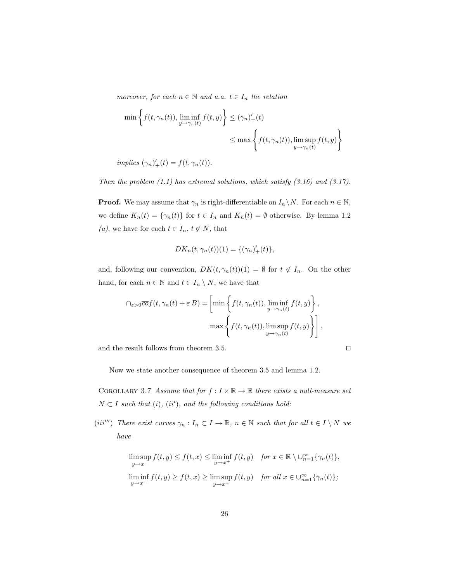moreover, for each  $n \in \mathbb{N}$  and a.a.  $t \in I_n$  the relation

$$
\min \left\{ f(t, \gamma_n(t)), \liminf_{y \to \gamma_n(t)} f(t, y) \right\} \leq (\gamma_n)'_+(t)
$$
  

$$
\leq \max \left\{ f(t, \gamma_n(t)), \limsup_{y \to \gamma_n(t)} f(t, y) \right\}
$$

implies  $(\gamma_n)'_+(t) = f(t, \gamma_n(t)).$ 

Then the problem  $(1.1)$  has extremal solutions, which satisfy  $(3.16)$  and  $(3.17)$ .

**Proof.** We may assume that  $\gamma_n$  is right-differentiable on  $I_n \setminus N$ . For each  $n \in \mathbb{N}$ , we define  $K_n(t) = \{\gamma_n(t)\}\$ for  $t \in I_n$  and  $K_n(t) = \emptyset$  otherwise. By lemma 1.2 (a), we have for each  $t\in I_n,$   $t\not\in N,$  that

$$
DK_n(t, \gamma_n(t))(1) = \{(\gamma_n)'_+(t)\},
$$

and, following our convention,  $DK(t, \gamma_n(t))(1) = \emptyset$  for  $t \notin I_n$ . On the other hand, for each  $n \in \mathbb{N}$  and  $t \in I_n \setminus N$ , we have that

$$
\bigcap_{\varepsilon>0} \overline{co} f(t, \gamma_n(t) + \varepsilon B) = \left[ \min \left\{ f(t, \gamma_n(t)), \liminf_{y \to \gamma_n(t)} f(t, y) \right\}, \max \left\{ f(t, \gamma_n(t)), \limsup_{y \to \gamma_n(t)} f(t, y) \right\} \right],
$$

and the result follows from theorem 3.5.

$$
\Box
$$

Now we state another consequence of theorem 3.5 and lemma 1.2.

COROLLARY 3.7 Assume that for  $f: I \times \mathbb{R} \to \mathbb{R}$  there exists a null-measure set  $N \subset I$  such that (i), (ii'), and the following conditions hold:

(iii''') There exist curves  $\gamma_n: I_n \subset I \to \mathbb{R}$ ,  $n \in \mathbb{N}$  such that for all  $t \in I \setminus N$  we have

$$
\limsup_{y \to x^{-}} f(t, y) \le f(t, x) \le \liminf_{y \to x^{+}} f(t, y) \quad \text{for } x \in \mathbb{R} \setminus \bigcup_{n=1}^{\infty} \{ \gamma_n(t) \},
$$
\n
$$
\liminf_{y \to x^{-}} f(t, y) \ge f(t, x) \ge \limsup_{y \to x^{+}} f(t, y) \quad \text{for all } x \in \bigcup_{n=1}^{\infty} \{ \gamma_n(t) \};
$$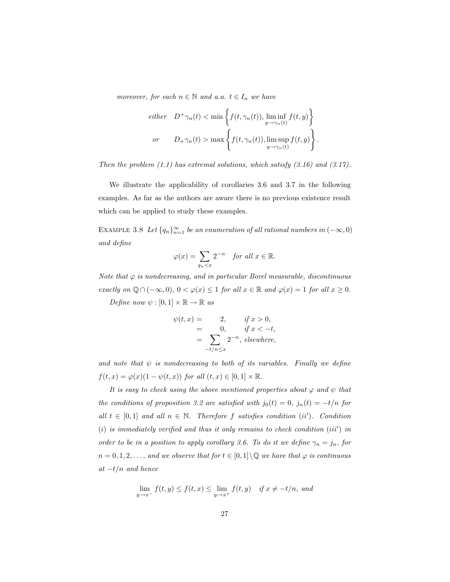moreover, for each  $n \in \mathbb{N}$  and a.a.  $t \in I_n$  we have

$$
either \quad D^+\gamma_n(t) < \min\left\{f(t,\gamma_n(t)), \liminf_{y \to \gamma_n(t)} f(t,y)\right\}
$$
\n
$$
or \quad D_+\gamma_n(t) > \max\left\{f(t,\gamma_n(t)), \limsup_{y \to \gamma_n(t)} f(t,y)\right\}.
$$

Then the problem  $(1.1)$  has extremal solutions, which satisfy  $(3.16)$  and  $(3.17)$ .

We illustrate the applicability of corollaries 3.6 and 3.7 in the following examples. As far as the authors are aware there is no previous existence result which can be applied to study these examples.

EXAMPLE 3.8 Let  ${q_n}_{n=1}^{\infty}$  be an enumeration of all rational numbers in  $(-\infty, 0)$ and define

$$
\varphi(x) = \sum_{q_n < x} 2^{-n} \quad \text{for all } x \in \mathbb{R}.
$$

Note that  $\varphi$  is nondecreasing, and in particular Borel measurable, discontinuous exactly on  $\mathbb{Q} \cap (-\infty, 0), 0 < \varphi(x) \leq 1$  for all  $x \in \mathbb{R}$  and  $\varphi(x) = 1$  for all  $x \geq 0$ . Define now  $\psi : [0,1] \times \mathbb{R} \to \mathbb{R}$  as

$$
\psi(t,x) = 2, \quad \text{if } x > 0,
$$
  
= 0, \quad \text{if } x < -t,  
= \sum\_{-t/n \le x} 2^{-n}, \text{ elsewhere,}

and note that  $\psi$  is nondecreasing to both of its variables. Finally we define  $f(t, x) = \varphi(x)(1 - \psi(t, x))$  for all  $(t, x) \in [0, 1] \times \mathbb{R}$ .

It is easy to check using the above mentioned properties about  $\varphi$  and  $\psi$  that the conditions of proposition 3.2 are satisfied with  $j_0(t) = 0$ ,  $j_n(t) = -t/n$  for all  $t \in [0,1]$  and all  $n \in \mathbb{N}$ . Therefore f satisfies condition (ii'). Condition  $(i)$  is immediately verified and thus it only remains to check condition  $(iii')$  in order to be in a position to apply corollary 3.6. To do it we define  $\gamma_n = j_n$ , for  $n = 0, 1, 2, \ldots$ , and we observe that for  $t \in [0, 1] \setminus \mathbb{Q}$  we have that  $\varphi$  is continuous  $at -t/n$  and hence

$$
\lim_{y \to x^{-}} f(t, y) \le f(t, x) \le \lim_{y \to x^{+}} f(t, y) \quad \text{if } x \ne -t/n, \text{ and}
$$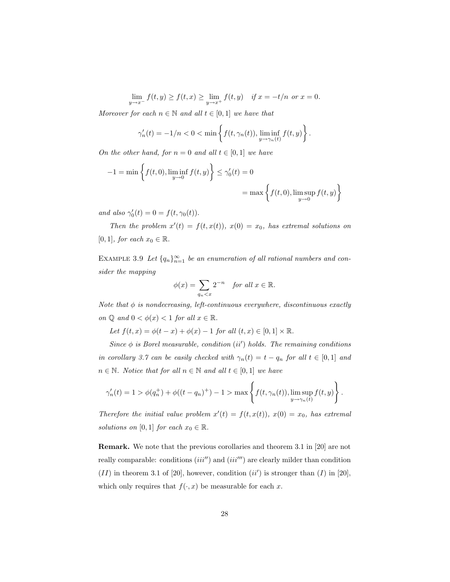$\lim_{y \to x^{-}} f(t, y) \ge f(t, x) \ge \lim_{y \to x^{+}} f(t, y)$  if  $x = -t/n$  or  $x = 0$ .

Moreover for each  $n \in \mathbb{N}$  and all  $t \in [0, 1]$  we have that

$$
\gamma_n'(t) = -1/n < 0 < \min\left\{ f(t, \gamma_n(t)), \liminf_{y \to \gamma_n(t)} f(t, y) \right\}.
$$

On the other hand, for  $n = 0$  and all  $t \in [0, 1]$  we have

$$
-1 = \min\left\{f(t,0), \liminf_{y \to 0} f(t,y)\right\} \le \gamma'_0(t) = 0
$$

$$
= \max\left\{f(t,0), \limsup_{y \to 0} f(t,y)\right\}
$$

and also  $\gamma'_0(t) = 0 = f(t, \gamma_0(t)).$ 

Then the problem  $x'(t) = f(t, x(t))$ ,  $x(0) = x_0$ , has extremal solutions on [0, 1], for each  $x_0 \in \mathbb{R}$ .

EXAMPLE 3.9 Let  $\{q_n\}_{n=1}^{\infty}$  be an enumeration of all rational numbers and consider the mapping

$$
\phi(x) = \sum_{q_n < x} 2^{-n} \quad \text{for all } x \in \mathbb{R}.
$$

Note that  $\phi$  is nondecreasing, left-continuous everywhere, discontinuous exactly on  $\mathbb Q$  and  $0 < \phi(x) < 1$  for all  $x \in \mathbb R$ .

Let  $f(t, x) = \phi(t - x) + \phi(x) - 1$  for all  $(t, x) \in [0, 1] \times \mathbb{R}$ .

Since  $\phi$  is Borel measurable, condition (ii') holds. The remaining conditions in corollary 3.7 can be easily checked with  $\gamma_n(t) = t - q_n$  for all  $t \in [0,1]$  and  $n \in \mathbb{N}$ . Notice that for all  $n \in \mathbb{N}$  and all  $t \in [0,1]$  we have

$$
\gamma_n'(t) = 1 > \phi(q_n^+) + \phi((t - q_n)^+) - 1 > \max\left\{f(t, \gamma_n(t)), \limsup_{y \to \gamma_n(t)} f(t, y)\right\}.
$$

Therefore the initial value problem  $x'(t) = f(t, x(t))$ ,  $x(0) = x_0$ , has extremal solutions on [0, 1] for each  $x_0 \in \mathbb{R}$ .

Remark. We note that the previous corollaries and theorem 3.1 in [20] are not really comparable: conditions  $(iii'')$  and  $(iii''')$  are clearly milder than condition  $(II)$  in theorem 3.1 of [20], however, condition  $(ii')$  is stronger than  $(I)$  in [20], which only requires that  $f(\cdot, x)$  be measurable for each x.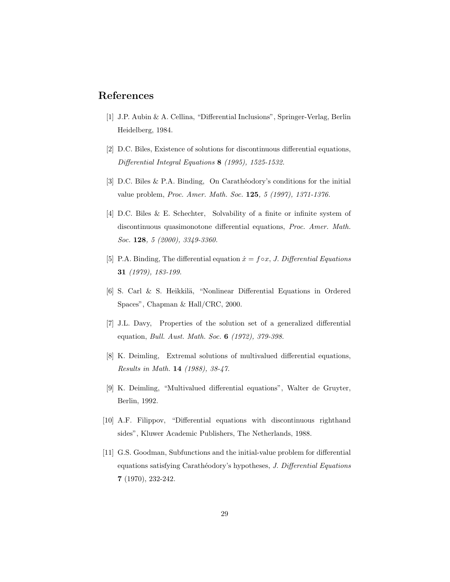## References

- [1] J.P. Aubin & A. Cellina, "Differential Inclusions", Springer-Verlag, Berlin Heidelberg, 1984.
- [2] D.C. Biles, Existence of solutions for discontinuous differential equations, Differential Integral Equations 8 (1995), 1525-1532.
- [3] D.C. Biles & P.A. Binding, On Carathéodory's conditions for the initial value problem, Proc. Amer. Math. Soc. 125, 5 (1997), 1371-1376.
- [4] D.C. Biles & E. Schechter, Solvability of a finite or infinite system of discontinuous quasimonotone differential equations, Proc. Amer. Math. Soc. 128, 5 (2000), 3349-3360.
- [5] P.A. Binding, The differential equation  $\dot{x} = f \circ x$ , J. Differential Equations 31 (1979), 183-199.
- [6] S. Carl & S. Heikkilä, "Nonlinear Differential Equations in Ordered Spaces", Chapman & Hall/CRC, 2000.
- [7] J.L. Davy, Properties of the solution set of a generalized differential equation, Bull. Aust. Math. Soc. 6 (1972), 379-398.
- [8] K. Deimling, Extremal solutions of multivalued differential equations, Results in Math. 14 (1988), 38-47.
- [9] K. Deimling, "Multivalued differential equations", Walter de Gruyter, Berlin, 1992.
- [10] A.F. Filippov, "Differential equations with discontinuous righthand sides", Kluwer Academic Publishers, The Netherlands, 1988.
- [11] G.S. Goodman, Subfunctions and the initial-value problem for differential equations satisfying Carathéodory's hypotheses, J. Differential Equations 7 (1970), 232-242.